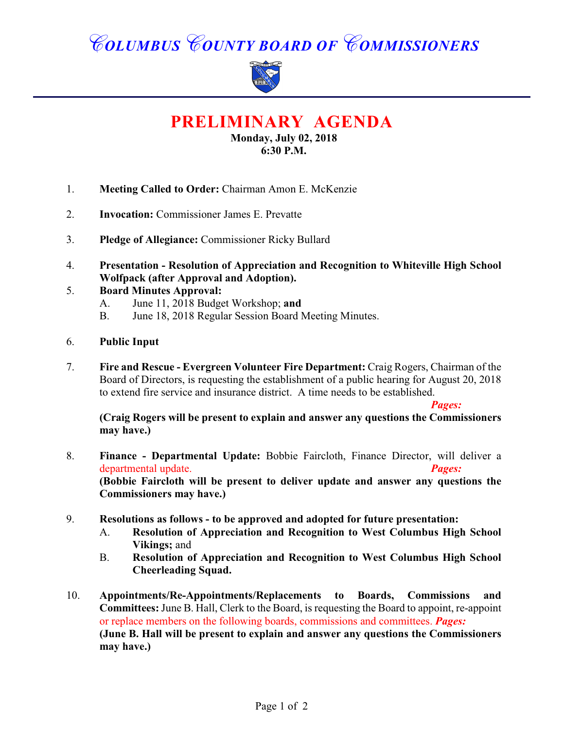# *COLUMBUS COUNTY BOARD OF COMMISSIONERS*



**PRELIMINARY AGENDA**

**Monday, July 02, 2018 6:30 P.M.**

- 1. **Meeting Called to Order:** Chairman Amon E. McKenzie
- 2. **Invocation:** Commissioner James E. Prevatte
- 3. **Pledge of Allegiance:** Commissioner Ricky Bullard
- 4. **Presentation Resolution of Appreciation and Recognition to Whiteville High School Wolfpack (after Approval and Adoption).**

### 5. **Board Minutes Approval:**

- A. June 11, 2018 Budget Workshop; **and**
- B. June 18, 2018 Regular Session Board Meeting Minutes.
- 6. **Public Input**
- 7. **Fire and Rescue Evergreen Volunteer Fire Department:** Craig Rogers, Chairman of the Board of Directors, is requesting the establishment of a public hearing for August 20, 2018 to extend fire service and insurance district. A time needs to be established.

#### *Pages:*

**(Craig Rogers will be present to explain and answer any questions the Commissioners may have.)**

- 8. **Finance Departmental Update:** Bobbie Faircloth, Finance Director, will deliver a departmental update. *Pages:*  **(Bobbie Faircloth will be present to deliver update and answer any questions the Commissioners may have.)**
- 9. **Resolutions as follows to be approved and adopted for future presentation:**
	- A. **Resolution of Appreciation and Recognition to West Columbus High School Vikings;** and
	- B. **Resolution of Appreciation and Recognition to West Columbus High School Cheerleading Squad.**
- 10. **Appointments/Re-Appointments/Replacements to Boards, Commissions and Committees:** June B. Hall, Clerk to the Board, is requesting the Board to appoint, re-appoint or replace members on the following boards, commissions and committees. *Pages:*  **(June B. Hall will be present to explain and answer any questions the Commissioners may have.)**